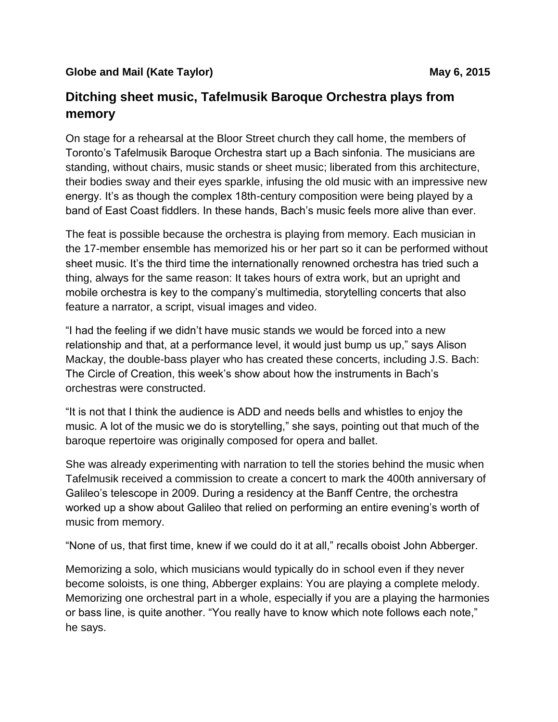## **Globe and Mail (Kate Taylor) May 6, 2015 May 6, 2015**

## **Ditching sheet music, Tafelmusik Baroque Orchestra plays from memory**

On stage for a rehearsal at the Bloor Street church they call home, the members of Toronto's Tafelmusik Baroque Orchestra start up a Bach sinfonia. The musicians are standing, without chairs, music stands or sheet music; liberated from this architecture, their bodies sway and their eyes sparkle, infusing the old music with an impressive new energy. It's as though the complex 18th-century composition were being played by a band of East Coast fiddlers. In these hands, Bach's music feels more alive than ever.

The feat is possible because the orchestra is playing from memory. Each musician in the 17-member ensemble has memorized his or her part so it can be performed without sheet music. It's the third time the internationally renowned orchestra has tried such a thing, always for the same reason: It takes hours of extra work, but an upright and mobile orchestra is key to the company's multimedia, storytelling concerts that also feature a narrator, a script, visual images and video.

"I had the feeling if we didn't have music stands we would be forced into a new relationship and that, at a performance level, it would just bump us up," says Alison Mackay, the double-bass player who has created these concerts, including J.S. Bach: The Circle of Creation, this week's show about how the instruments in Bach's orchestras were constructed.

"It is not that I think the audience is ADD and needs bells and whistles to enjoy the music. A lot of the music we do is storytelling," she says, pointing out that much of the baroque repertoire was originally composed for opera and ballet.

She was already experimenting with narration to tell the stories behind the music when Tafelmusik received a commission to create a concert to mark the 400th anniversary of Galileo's telescope in 2009. During a residency at the Banff Centre, the orchestra worked up a show about Galileo that relied on performing an entire evening's worth of music from memory.

"None of us, that first time, knew if we could do it at all," recalls oboist John Abberger.

Memorizing a solo, which musicians would typically do in school even if they never become soloists, is one thing, Abberger explains: You are playing a complete melody. Memorizing one orchestral part in a whole, especially if you are a playing the harmonies or bass line, is quite another. "You really have to know which note follows each note," he says.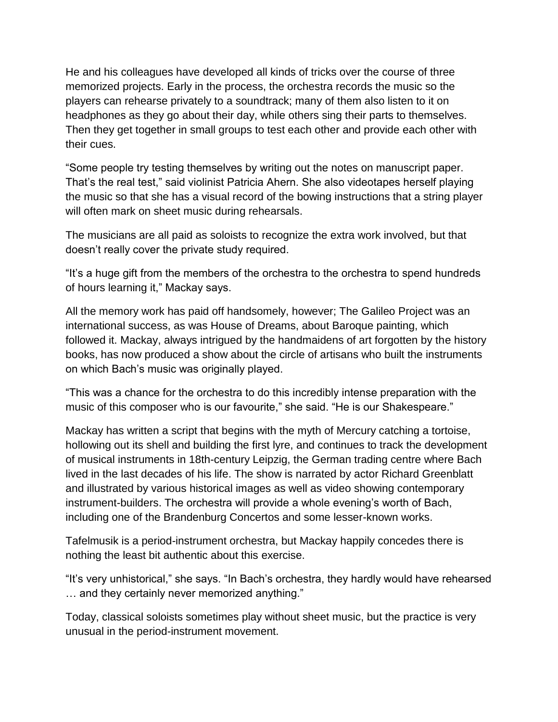He and his colleagues have developed all kinds of tricks over the course of three memorized projects. Early in the process, the orchestra records the music so the players can rehearse privately to a soundtrack; many of them also listen to it on headphones as they go about their day, while others sing their parts to themselves. Then they get together in small groups to test each other and provide each other with their cues.

"Some people try testing themselves by writing out the notes on manuscript paper. That's the real test," said violinist Patricia Ahern. She also videotapes herself playing the music so that she has a visual record of the bowing instructions that a string player will often mark on sheet music during rehearsals.

The musicians are all paid as soloists to recognize the extra work involved, but that doesn't really cover the private study required.

"It's a huge gift from the members of the orchestra to the orchestra to spend hundreds of hours learning it," Mackay says.

All the memory work has paid off handsomely, however; The Galileo Project was an international success, as was House of Dreams, about Baroque painting, which followed it. Mackay, always intrigued by the handmaidens of art forgotten by the history books, has now produced a show about the circle of artisans who built the instruments on which Bach's music was originally played.

"This was a chance for the orchestra to do this incredibly intense preparation with the music of this composer who is our favourite," she said. "He is our Shakespeare."

Mackay has written a script that begins with the myth of Mercury catching a tortoise, hollowing out its shell and building the first lyre, and continues to track the development of musical instruments in 18th-century Leipzig, the German trading centre where Bach lived in the last decades of his life. The show is narrated by actor Richard Greenblatt and illustrated by various historical images as well as video showing contemporary instrument-builders. The orchestra will provide a whole evening's worth of Bach, including one of the Brandenburg Concertos and some lesser-known works.

Tafelmusik is a period-instrument orchestra, but Mackay happily concedes there is nothing the least bit authentic about this exercise.

"It's very unhistorical," she says. "In Bach's orchestra, they hardly would have rehearsed … and they certainly never memorized anything."

Today, classical soloists sometimes play without sheet music, but the practice is very unusual in the period-instrument movement.